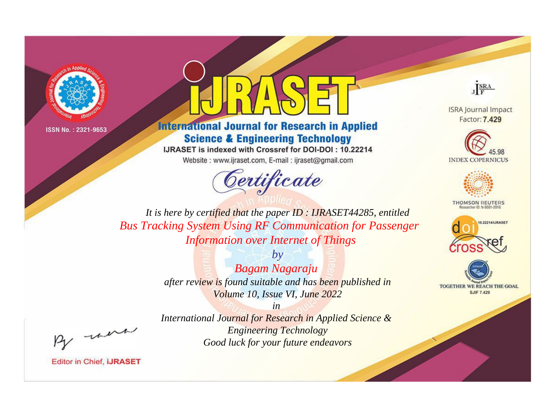



## **International Journal for Research in Applied Science & Engineering Technology**

IJRASET is indexed with Crossref for DOI-DOI: 10.22214

Website: www.ijraset.com, E-mail: ijraset@gmail.com



JERA

**ISRA Journal Impact** Factor: 7.429





**THOMSON REUTERS** 



TOGETHER WE REACH THE GOAL **SJIF 7.429** 

It is here by certified that the paper ID: IJRASET44285, entitled **Bus Tracking System Using RF Communication for Passenger Information over Internet of Things** 

> $b\nu$ **Bagam Nagaraju** after review is found suitable and has been published in Volume 10, Issue VI, June 2022

> > $in$

International Journal for Research in Applied Science & **Engineering Technology** Good luck for your future endeavors

were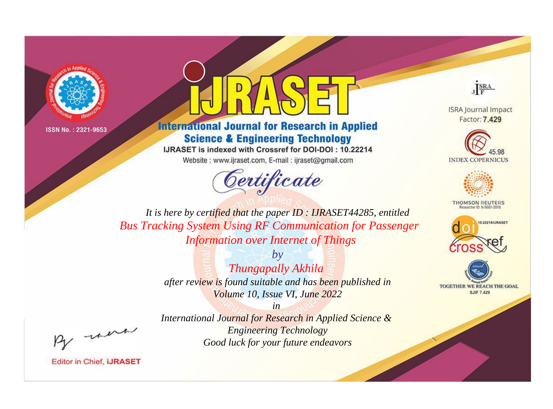



## **International Journal for Research in Applied Science & Engineering Technology**

IJRASET is indexed with Crossref for DOI-DOI: 10.22214

Website: www.ijraset.com, E-mail: ijraset@gmail.com



JERA

**ISRA Journal Impact** Factor: 7.429





**THOMSON REUTERS** 



TOGETHER WE REACH THE GOAL **SJIF 7.429** 

It is here by certified that the paper ID: IJRASET44285, entitled **Bus Tracking System Using RF Communication for Passenger Information over Internet of Things** 

> $b\nu$ Thungapally Akhila after review is found suitable and has been published in Volume 10, Issue VI, June 2022

> > $in$

International Journal for Research in Applied Science & **Engineering Technology** Good luck for your future endeavors

were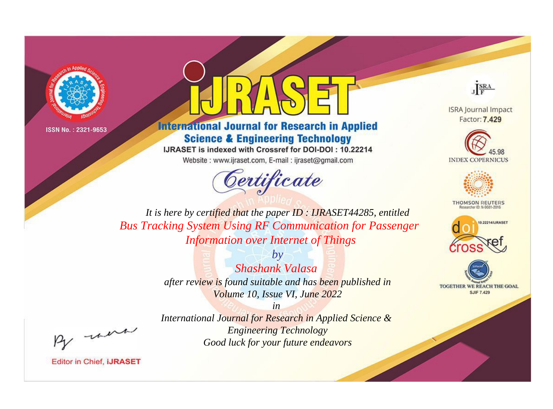



## **International Journal for Research in Applied Science & Engineering Technology**

IJRASET is indexed with Crossref for DOI-DOI: 10.22214

Website: www.ijraset.com, E-mail: ijraset@gmail.com



JERA

**ISRA Journal Impact** Factor: 7.429





**THOMSON REUTERS** 



TOGETHER WE REACH THE GOAL **SJIF 7.429** 

*It is here by certified that the paper ID : IJRASET44285, entitled Bus Tracking System Using RF Communication for Passenger Information over Internet of Things*

> *by Shashank Valasa after review is found suitable and has been published in Volume 10, Issue VI, June 2022*

, un

*in International Journal for Research in Applied Science & Engineering Technology Good luck for your future endeavors*